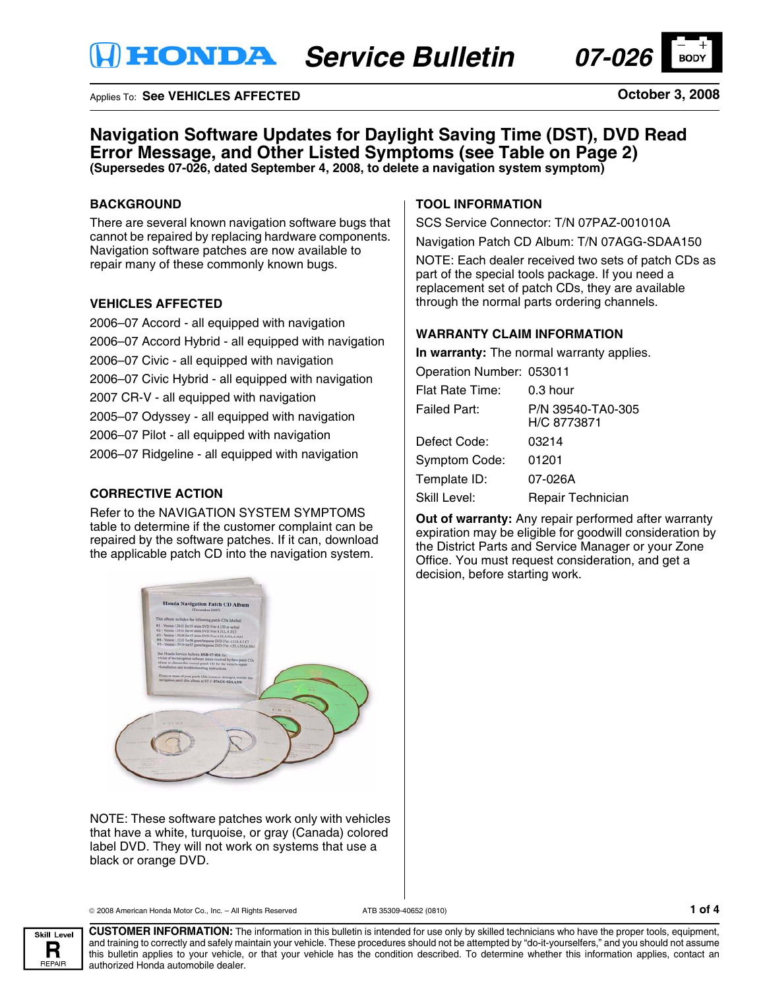

### Applies To: **See VEHICLES AFFECTED**

**October 3, 2008**

# **Navigation Software Updates for Daylight Saving Time (DST), DVD Read Error Message, and Other Listed Symptoms (see Table on Page 2) (Supersedes 07-026, dated September 4, 2008, to delete a navigation system symptom)**

## **BACKGROUND**

There are several known navigation software bugs that cannot be repaired by replacing hardware components. Navigation software patches are now available to repair many of these commonly known bugs.

### **VEHICLES AFFECTED**

2006–07 Accord - all equipped with navigation 2006–07 Accord Hybrid - all equipped with navigation 2006–07 Civic - all equipped with navigation 2006–07 Civic Hybrid - all equipped with navigation 2007 CR-V - all equipped with navigation 2005–07 Odyssey - all equipped with navigation 2006–07 Pilot - all equipped with navigation 2006–07 Ridgeline - all equipped with navigation

## **CORRECTIVE ACTION**

Refer to the NAVIGATION SYSTEM SYMPTOMS table to determine if the customer complaint can be repaired by the software patches. If it can, download the applicable patch CD into the navigation system.



NOTE: These software patches work only with vehicles that have a white, turquoise, or gray (Canada) colored label DVD. They will not work on systems that use a black or orange DVD.

#### © 2008 American Honda Motor Co., Inc. – All Rights Reserved ATB 35309-40652 (0810) **1 of 4**



**CUSTOMER INFORMATION:** The information in this bulletin is intended for use only by skilled technicians who have the proper tools, equipment, and training to correctly and safely maintain your vehicle. These procedures should not be attempted by "do-it-yourselfers," and you should not assume this bulletin applies to your vehicle, or that your vehicle has the condition described. To determine whether this information applies, contact an authorized Honda automobile dealer.

## **TOOL INFORMATION**

SCS Service Connector: T/N 07PAZ-001010A

Navigation Patch CD Album: T/N 07AGG-SDAA150

NOTE: Each dealer received two sets of patch CDs as part of the special tools package. If you need a replacement set of patch CDs, they are available through the normal parts ordering channels.

### **WARRANTY CLAIM INFORMATION**

**In warranty:** The normal warranty applies.

Operation Number: 053011

| Flat Rate Time:      | $0.3$ hour                       |
|----------------------|----------------------------------|
| Failed Part:         | P/N 39540-TA0-305<br>H/C 8773871 |
| Defect Code:         | 03214                            |
| <b>Symptom Code:</b> | 01201                            |
| Template ID:         | 07-026A                          |
| Skill Level:         | Repair Technician                |

**Out of warranty:** Any repair performed after warranty expiration may be eligible for goodwill consideration by the District Parts and Service Manager or your Zone Office. You must request consideration, and get a decision, before starting work.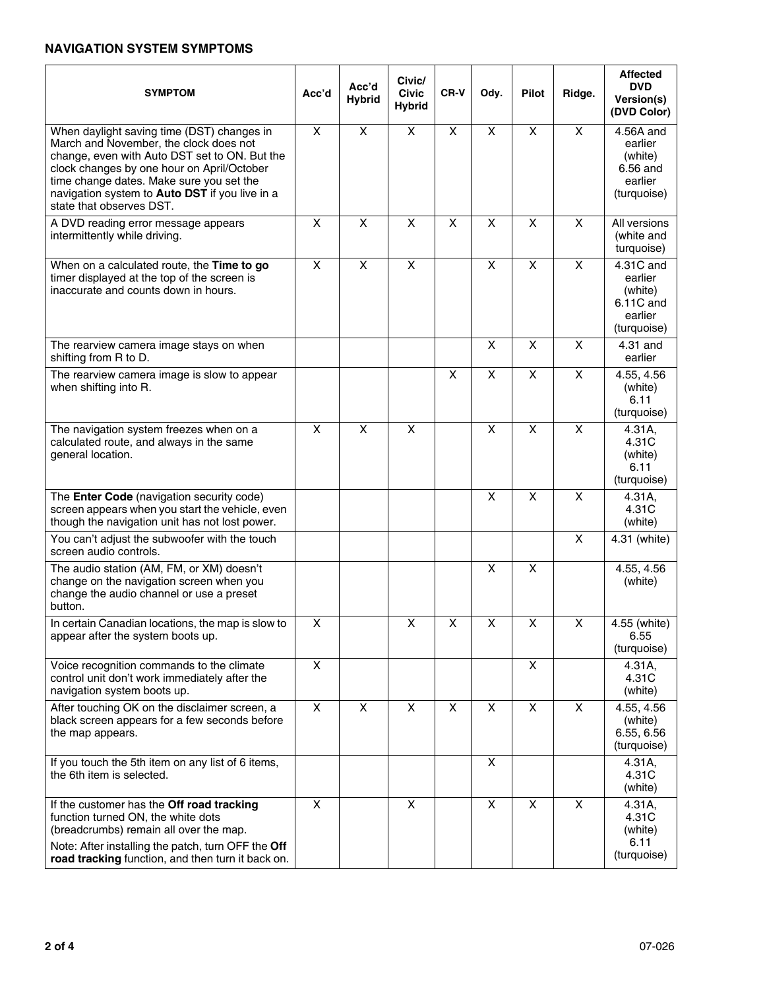## **NAVIGATION SYSTEM SYMPTOMS**

| <b>SYMPTOM</b>                                                                                                                                                                                                                                                                                                | Acc'd              | Acc'd<br><b>Hybrid</b> | Civic/<br><b>Civic</b><br><b>Hybrid</b> | CR-V                    | Ody.                      | <b>Pilot</b>            | Ridge.                  | <b>Affected</b><br><b>DVD</b><br>Version(s)<br>(DVD Color)             |
|---------------------------------------------------------------------------------------------------------------------------------------------------------------------------------------------------------------------------------------------------------------------------------------------------------------|--------------------|------------------------|-----------------------------------------|-------------------------|---------------------------|-------------------------|-------------------------|------------------------------------------------------------------------|
| When daylight saving time (DST) changes in<br>March and November, the clock does not<br>change, even with Auto DST set to ON. But the<br>clock changes by one hour on April/October<br>time change dates. Make sure you set the<br>navigation system to Auto DST if you live in a<br>state that observes DST. | X                  | X                      | X                                       | X                       | $\boldsymbol{\mathsf{X}}$ | X                       | X                       | 4.56A and<br>earlier<br>(white)<br>6.56 and<br>earlier<br>(turquoise)  |
| A DVD reading error message appears<br>intermittently while driving.                                                                                                                                                                                                                                          | X                  | X                      | X                                       | X                       | $\boldsymbol{\mathsf{X}}$ | X                       | X                       | All versions<br>(white and<br>turquoise)                               |
| When on a calculated route, the Time to go<br>timer displayed at the top of the screen is<br>inaccurate and counts down in hours.                                                                                                                                                                             | $\pmb{\times}$     | $\pmb{\times}$         | $\overline{X}$                          |                         | $\overline{\mathsf{x}}$   | $\overline{X}$          | $\overline{\mathsf{x}}$ | 4.31C and<br>earlier<br>(white)<br>6.11C and<br>earlier<br>(turquoise) |
| The rearview camera image stays on when<br>shifting from R to D.                                                                                                                                                                                                                                              |                    |                        |                                         |                         | $\overline{\mathsf{x}}$   | $\overline{\mathsf{x}}$ | X                       | 4.31 and<br>earlier                                                    |
| The rearview camera image is slow to appear<br>when shifting into R.                                                                                                                                                                                                                                          |                    |                        |                                         | $\pmb{\times}$          | $\boldsymbol{\mathsf{X}}$ | X                       | X                       | 4.55, 4.56<br>(white)<br>6.11<br>(turquoise)                           |
| The navigation system freezes when on a<br>calculated route, and always in the same<br>general location.                                                                                                                                                                                                      | X                  | X                      | X                                       |                         | $\overline{\mathsf{x}}$   | $\overline{\mathsf{x}}$ | $\overline{\mathsf{x}}$ | 4.31A,<br>4.31C<br>(white)<br>6.11<br>(turquoise)                      |
| The Enter Code (navigation security code)<br>screen appears when you start the vehicle, even<br>though the navigation unit has not lost power.                                                                                                                                                                |                    |                        |                                         |                         | $\times$                  | $\overline{X}$          | X                       | 4.31A,<br>4.31C<br>(white)                                             |
| You can't adjust the subwoofer with the touch<br>screen audio controls.                                                                                                                                                                                                                                       |                    |                        |                                         |                         |                           |                         | $\overline{\mathsf{x}}$ | 4.31 (white)                                                           |
| The audio station (AM, FM, or XM) doesn't<br>change on the navigation screen when you<br>change the audio channel or use a preset<br>button.                                                                                                                                                                  |                    |                        |                                         |                         | $\boldsymbol{\mathsf{X}}$ | X                       |                         | 4.55, 4.56<br>(white)                                                  |
| In certain Canadian locations, the map is slow to<br>appear after the system boots up.                                                                                                                                                                                                                        | $\pmb{\mathsf{X}}$ |                        | X                                       | $\overline{\mathsf{x}}$ | Χ                         | $\overline{X}$          | $\pmb{\mathsf{X}}$      | 4.55 (white)<br>6.55<br>(turquoise)                                    |
| Voice recognition commands to the climate<br>control unit don't work immediately after the<br>navigation system boots up.                                                                                                                                                                                     | $\pmb{\times}$     |                        |                                         |                         |                           | $\pmb{\times}$          |                         | 4.31A,<br>4.31C<br>(white)                                             |
| After touching OK on the disclaimer screen, a<br>black screen appears for a few seconds before<br>the map appears.                                                                                                                                                                                            | $\pmb{\times}$     | $\pmb{\times}$         | X                                       | $\pmb{\times}$          | $\boldsymbol{\mathsf{X}}$ | $\pmb{\times}$          | X                       | 4.55, 4.56<br>(white)<br>6.55, 6.56<br>(turquoise)                     |
| If you touch the 5th item on any list of 6 items,<br>the 6th item is selected.                                                                                                                                                                                                                                |                    |                        |                                         |                         | X                         |                         |                         | 4.31A,<br>4.31C<br>(white)                                             |
| If the customer has the Off road tracking<br>function turned ON, the white dots<br>(breadcrumbs) remain all over the map.<br>Note: After installing the patch, turn OFF the Off<br>road tracking function, and then turn it back on.                                                                          | X                  |                        | X                                       |                         | X                         | X                       | X                       | 4.31A,<br>4.31C<br>(white)<br>6.11<br>(turquoise)                      |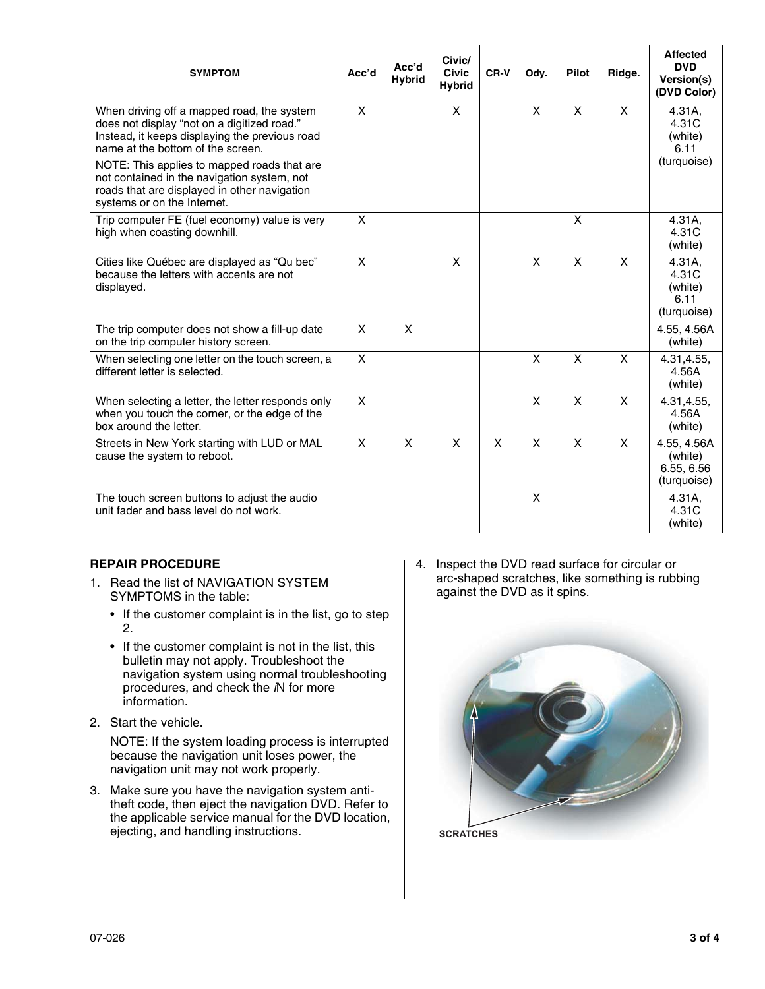| <b>SYMPTOM</b>                                                                                                                                                                   | Acc'd | Acc'd<br><b>Hybrid</b> | Civic/<br><b>Civic</b><br><b>Hybrid</b> | CR-V | Ody. | Pilot | Ridge. | <b>Affected</b><br><b>DVD</b><br>Version(s)<br>(DVD Color) |
|----------------------------------------------------------------------------------------------------------------------------------------------------------------------------------|-------|------------------------|-----------------------------------------|------|------|-------|--------|------------------------------------------------------------|
| When driving off a mapped road, the system<br>does not display "not on a digitized road."<br>Instead, it keeps displaying the previous road<br>name at the bottom of the screen. | X     |                        | X                                       |      | X    | X     | X      | 4.31A,<br>4.31C<br>(white)<br>6.11                         |
| NOTE: This applies to mapped roads that are<br>not contained in the navigation system, not<br>roads that are displayed in other navigation<br>systems or on the Internet.        |       |                        |                                         |      |      |       |        | (turquoise)                                                |
| Trip computer FE (fuel economy) value is very<br>high when coasting downhill.                                                                                                    | X     |                        |                                         |      |      | X     |        | 4.31A,<br>4.31C<br>(white)                                 |
| Cities like Québec are displayed as "Qu bec"<br>because the letters with accents are not<br>displayed.                                                                           | X     |                        | X                                       |      | X    | X     | X      | 4.31A,<br>4.31C<br>(white)<br>6.11<br>(turquoise)          |
| The trip computer does not show a fill-up date<br>on the trip computer history screen.                                                                                           | X     | X                      |                                         |      |      |       |        | 4.55, 4.56A<br>(white)                                     |
| When selecting one letter on the touch screen, a<br>different letter is selected.                                                                                                | X     |                        |                                         |      | X    | X     | X      | 4.31,4.55,<br>4.56A<br>(white)                             |
| When selecting a letter, the letter responds only<br>when you touch the corner, or the edge of the<br>box around the letter.                                                     | X     |                        |                                         |      | X    | X     | X      | 4.31,4.55,<br>4.56A<br>(white)                             |
| Streets in New York starting with LUD or MAL<br>cause the system to reboot.                                                                                                      | X     | X                      | X                                       | X    | X    | X     | X      | 4.55, 4.56A<br>(white)<br>6.55, 6.56<br>(turquoise)        |
| The touch screen buttons to adjust the audio<br>unit fader and bass level do not work.                                                                                           |       |                        |                                         |      | X    |       |        | 4.31A,<br>4.31C<br>(white)                                 |

## **REPAIR PROCEDURE**

- 1. Read the list of NAVIGATION SYSTEM SYMPTOMS in the table:
	- If the customer complaint is in the list, go to step 2.
	- If the customer complaint is not in the list, this bulletin may not apply. Troubleshoot the navigation system using normal troubleshooting procedures, and check the *i*N for more information.
- 2. Start the vehicle.

NOTE: If the system loading process is interrupted because the navigation unit loses power, the navigation unit may not work properly.

3. Make sure you have the navigation system antitheft code, then eject the navigation DVD. Refer to the applicable service manual for the DVD location, ejecting, and handling instructions.

4. Inspect the DVD read surface for circular or arc-shaped scratches, like something is rubbing against the DVD as it spins.